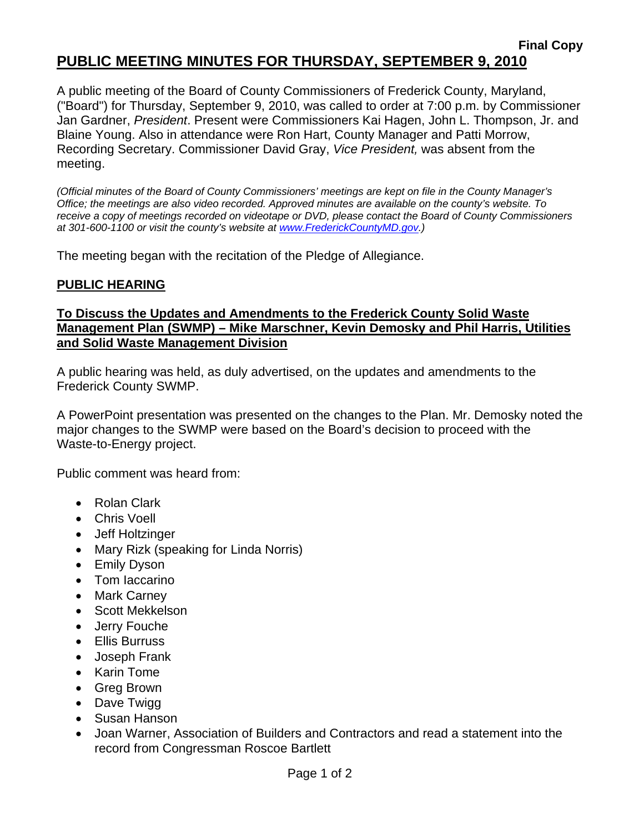# **Final Copy PUBLIC MEETING MINUTES FOR THURSDAY, SEPTEMBER 9, 2010**

A public meeting of the Board of County Commissioners of Frederick County, Maryland, ("Board") for Thursday, September 9, 2010, was called to order at 7:00 p.m. by Commissioner Jan Gardner, *President*. Present were Commissioners Kai Hagen, John L. Thompson, Jr. and Blaine Young. Also in attendance were Ron Hart, County Manager and Patti Morrow, Recording Secretary. Commissioner David Gray, *Vice President,* was absent from the meeting.

*(Official minutes of the Board of County Commissioners' meetings are kept on file in the County Manager's Office; the meetings are also video recorded. Approved minutes are available on the county's website. To receive a copy of meetings recorded on videotape or DVD, please contact the Board of County Commissioners at 301-600-1100 or visit the county's website at [www.FrederickCountyMD.gov](http://www.frederickcountymd.gov/).)* 

The meeting began with the recitation of the Pledge of Allegiance.

### **PUBLIC HEARING**

### **To Discuss the Updates and Amendments to the Frederick County Solid Waste Management Plan (SWMP) – Mike Marschner, Kevin Demosky and Phil Harris, Utilities and Solid Waste Management Division**

A public hearing was held, as duly advertised, on the updates and amendments to the Frederick County SWMP.

A PowerPoint presentation was presented on the changes to the Plan. Mr. Demosky noted the major changes to the SWMP were based on the Board's decision to proceed with the Waste-to-Energy project.

Public comment was heard from:

- Rolan Clark
- Chris Voell
- Jeff Holtzinger
- Mary Rizk (speaking for Linda Norris)
- Emily Dyson
- Tom Iaccarino
- Mark Carney
- Scott Mekkelson
- Jerry Fouche
- Ellis Burruss
- Joseph Frank
- Karin Tome
- Greg Brown
- Dave Twigg
- Susan Hanson
- Joan Warner, Association of Builders and Contractors and read a statement into the record from Congressman Roscoe Bartlett